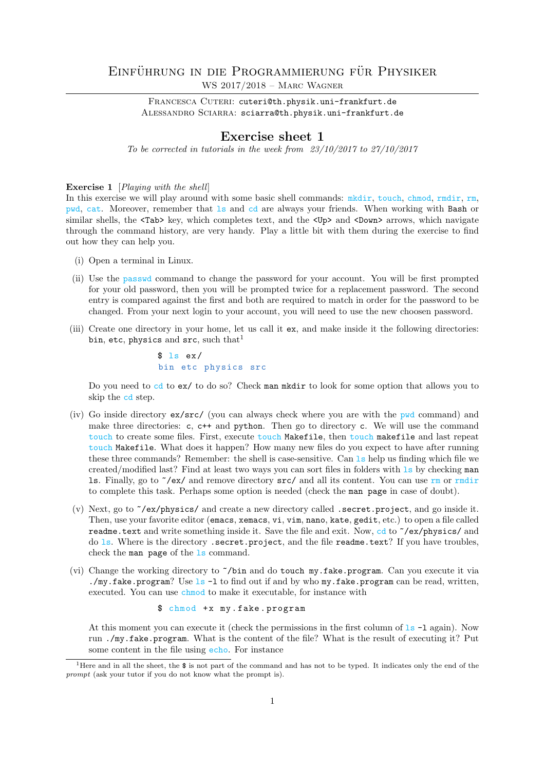# EINFÜHRUNG IN DIE PROGRAMMIERUNG FÜR PHYSIKER WS 2017/2018 – Marc Wagner

FRANCESCA CUTERI: cuteri@th.physik.uni-frankfurt.de ALESSANDRO SCIARRA: sciarra@th.physik.uni-frankfurt.de

# Exercise sheet 1

To be corrected in tutorials in the week from 23/10/2017 to 27/10/2017

Exercise 1 [*Playing with the shell*]

In this exercise we will play around with some basic shell commands:  $m$ kdir, touch, chmod, rmdir, rm, pwd, cat. Moreover, remember that ls and cd are always your friends. When working with Bash or similar shells, the <Tab> key, which completes text, and the <Up> and <Down> arrows, which navigate through the command history, are very handy. Play a little bit with them during the exercise to find out how they can help you.

- (i) Open a terminal in Linux.
- (ii) Use the passwd command to change the password for your account. You will be first prompted for your old password, then you will be prompted twice for a replacement password. The second entry is compared against the first and both are required to match in order for the password to be changed. From your next login to your account, you will need to use the new choosen password.
- (iii) Create one directory in your home, let us call it ex, and make inside it the following directories: bin, etc, physics and  $src$ , such that<sup>1</sup>

 $$ 1s e x/$ bin etc physics src

Do you need to cd to ex/ to do so? Check man mkdir to look for some option that allows you to skip the cd step.

- (iv) Go inside directory ex/src/ (you can always check where you are with the pwd command) and make three directories:  $c, c$  + and python. Then go to directory  $c$ . We will use the command touch to create some files. First, execute touch Makefile, then touch makefile and last repeat touch Makefile. What does it happen? How many new files do you expect to have after running these three commands? Remember: the shell is case-sensitive. Can ls help us finding which file we created/modified last? Find at least two ways you can sort files in folders with ls by checking man 1s. Finally, go to  $\gamma$ ex/ and remove directory src/ and all its content. You can use rm or rmdir to complete this task. Perhaps some option is needed (check the man page in case of doubt).
- (v) Next, go to ~/ex/physics/ and create a new directory called .secret.project, and go inside it. Then, use your favorite editor (emacs, xemacs, vi, vim, nano, kate, gedit, etc.) to open a file called readme.text and write something inside it. Save the file and exit. Now, cd to  $\check{ }$ /ex/physics/ and do ls. Where is the directory .secret.project, and the file readme.text? If you have troubles, check the man page of the ls command.
- (vi) Change the working directory to ~/bin and do touch my.fake.program. Can you execute it via ./my.fake.program? Use  $1s - 1$  to find out if and by who my.fake.program can be read, written, executed. You can use chmod to make it executable, for instance with

\$ chmod +x my.fake.program

At this moment you can execute it (check the permissions in the first column of  $1s - 1$  again). Now run ./my.fake.program. What is the content of the file? What is the result of executing it? Put some content in the file using echo. For instance

<sup>&</sup>lt;sup>1</sup>Here and in all the sheet, the  $\frac{1}{2}$  is not part of the command and has not to be typed. It indicates only the end of the prompt (ask your tutor if you do not know what the prompt is).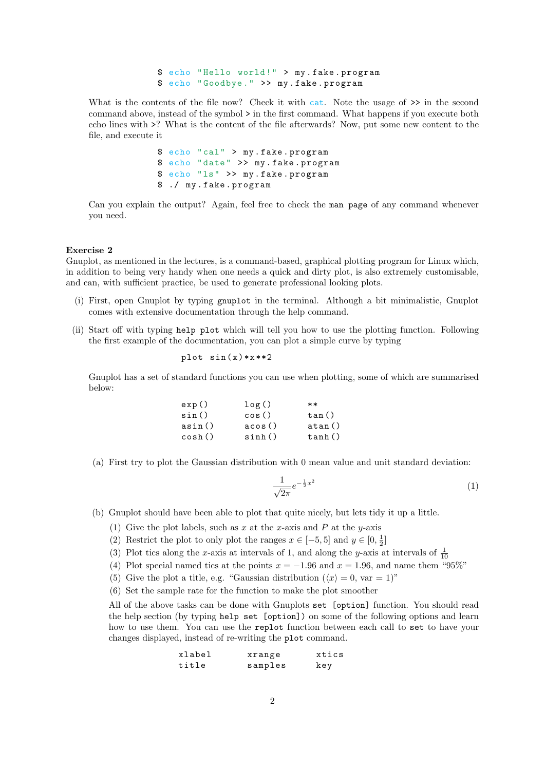\$ echo " Hello world !" > my . fake . program \$ echo " Goodbye ." >> my . fake . program

What is the contents of the file now? Check it with cat. Note the usage of  $\gg$  in the second command above, instead of the symbol > in the first command. What happens if you execute both echo lines with >? What is the content of the file afterwards? Now, put some new content to the file, and execute it

> \$ echo "cal " > my . fake . program \$ echo " date " >> my . fake . program \$ echo "ls" >> my . fake . program \$ ./ my . fake . program

Can you explain the output? Again, feel free to check the man page of any command whenever you need.

### Exercise 2

Gnuplot, as mentioned in the lectures, is a command-based, graphical plotting program for Linux which, in addition to being very handy when one needs a quick and dirty plot, is also extremely customisable, and can, with sufficient practice, be used to generate professional looking plots.

- (i) First, open Gnuplot by typing gnuplot in the terminal. Although a bit minimalistic, Gnuplot comes with extensive documentation through the help command.
- (ii) Start off with typing help plot which will tell you how to use the plotting function. Following the first example of the documentation, you can plot a simple curve by typing

$$
plot sin(x) * x * * 2
$$

Gnuplot has a set of standard functions you can use when plotting, some of which are summarised below:

| exp()  | log()  | $**$   |
|--------|--------|--------|
| sin()  | cos()  | tan()  |
| asin() | acos() | atan() |
| cosh() | sinh() | tanh() |

(a) First try to plot the Gaussian distribution with 0 mean value and unit standard deviation:

$$
\frac{1}{\sqrt{2\pi}}e^{-\frac{1}{2}x^2} \tag{1}
$$

(b) Gnuplot should have been able to plot that quite nicely, but lets tidy it up a little.

- (1) Give the plot labels, such as x at the x-axis and P at the y-axis
- (2) Restrict the plot to only plot the ranges  $x \in [-5, 5]$  and  $y \in [0, \frac{1}{2}]$
- (3) Plot tics along the x-axis at intervals of 1, and along the y-axis at intervals of  $\frac{1}{10}$
- (4) Plot special named tics at the points  $x = -1.96$  and  $x = 1.96$ , and name them "95%"
- (5) Give the plot a title, e.g. "Gaussian distribution  $(\langle x \rangle = 0, \text{ var} = 1)$ "
- (6) Set the sample rate for the function to make the plot smoother

All of the above tasks can be done with Gnuplots set [option] function. You should read the help section (by typing help set [option]) on some of the following options and learn how to use them. You can use the replot function between each call to set to have your changes displayed, instead of re-writing the plot command.

| xlabel | xrange  | xtics |
|--------|---------|-------|
| title  | samples | key   |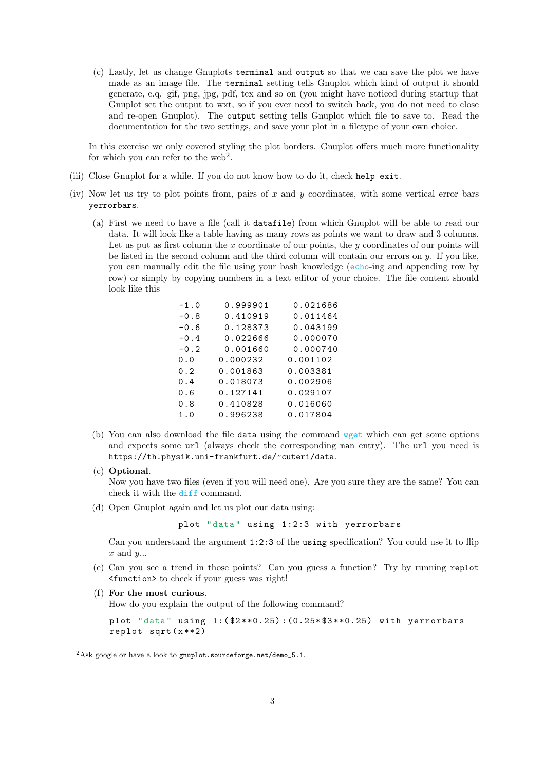(c) Lastly, let us change Gnuplots terminal and output so that we can save the plot we have made as an image file. The terminal setting tells Gnuplot which kind of output it should generate, e.q. gif, png, jpg, pdf, tex and so on (you might have noticed during startup that Gnuplot set the output to wxt, so if you ever need to switch back, you do not need to close and re-open Gnuplot). The output setting tells Gnuplot which file to save to. Read the documentation for the two settings, and save your plot in a filetype of your own choice.

In this exercise we only covered styling the plot borders. Gnuplot offers much more functionality for which you can refer to the web<sup>2</sup>.

- (iii) Close Gnuplot for a while. If you do not know how to do it, check help exit.
- (iv) Now let us try to plot points from, pairs of  $x$  and  $y$  coordinates, with some vertical error bars yerrorbars.
	- (a) First we need to have a file (call it datafile) from which Gnuplot will be able to read our data. It will look like a table having as many rows as points we want to draw and 3 columns. Let us put as first column the x coordinate of our points, the y coordinates of our points will be listed in the second column and the third column will contain our errors on  $y$ . If you like, you can manually edit the file using your bash knowledge (echo-ing and appending row by row) or simply by copying numbers in a text editor of your choice. The file content should look like this

| $-1.0$ | 0.999901 | 0.021686 |
|--------|----------|----------|
| $-0.8$ | 0.410919 | 0.011464 |
| $-0.6$ | 0.128373 | 0.043199 |
| $-0.4$ | 0.022666 | 0.000070 |
| $-0.2$ | 0.001660 | 0.000740 |
| 0.0    | 0.000232 | 0.001102 |
| 0.2    | 0.001863 | 0.003381 |
| 0.4    | 0.018073 | 0.002906 |
| 0.6    | 0.127141 | 0.029107 |
| 0.8    | 0.410828 | 0.016060 |
| 1.0    | 0.996238 | 0.017804 |

(b) You can also download the file data using the command wget which can get some options and expects some url (always check the corresponding man entry). The url you need is https://th.physik.uni-frankfurt.de/~cuteri/data.

# (c) Optional.

Now you have two files (even if you will need one). Are you sure they are the same? You can check it with the diff command.

(d) Open Gnuplot again and let us plot our data using:

plot "data" using 1:2:3 with yerrorbars

Can you understand the argument 1:2:3 of the using specification? You could use it to flip  $x$  and  $y...$ 

- (e) Can you see a trend in those points? Can you guess a function? Try by running replot <function> to check if your guess was right!
- (f) For the most curious.

How do you explain the output of the following command?

plot " data " using 1:( \$2 \*\*0.25) :(0.25\* \$3 \*\*0.25) with yerrorbars replot  $sqrt(x**2)$ 

<sup>&</sup>lt;sup>2</sup>Ask google or have a look to gnuplot.sourceforge.net/demo\_5.1.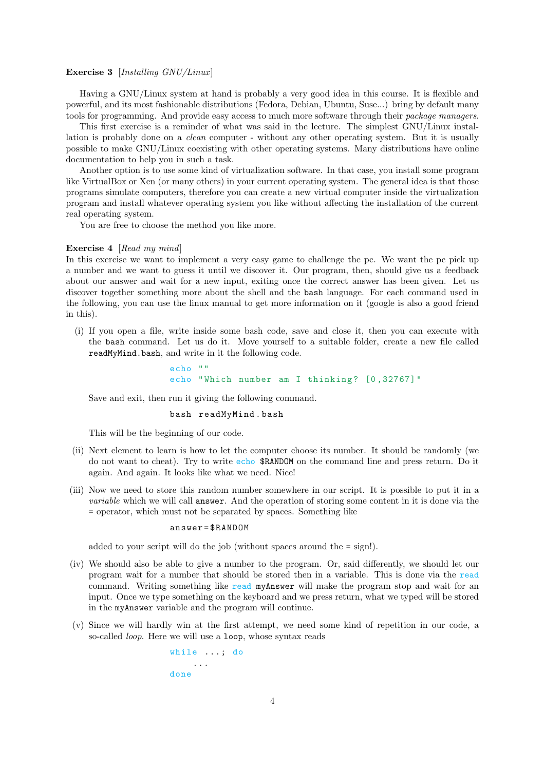## Exercise 3 [Installing GNU/Linux]

Having a GNU/Linux system at hand is probably a very good idea in this course. It is flexible and powerful, and its most fashionable distributions (Fedora, Debian, Ubuntu, Suse...) bring by default many tools for programming. And provide easy access to much more software through their package managers.

This first exercise is a reminder of what was said in the lecture. The simplest GNU/Linux installation is probably done on a clean computer - without any other operating system. But it is usually possible to make GNU/Linux coexisting with other operating systems. Many distributions have online documentation to help you in such a task.

Another option is to use some kind of virtualization software. In that case, you install some program like VirtualBox or Xen (or many others) in your current operating system. The general idea is that those programs simulate computers, therefore you can create a new virtual computer inside the virtualization program and install whatever operating system you like without affecting the installation of the current real operating system.

You are free to choose the method you like more.

#### Exercise 4 [Read my mind]

In this exercise we want to implement a very easy game to challenge the pc. We want the pc pick up a number and we want to guess it until we discover it. Our program, then, should give us a feedback about our answer and wait for a new input, exiting once the correct answer has been given. Let us discover together something more about the shell and the bash language. For each command used in the following, you can use the linux manual to get more information on it (google is also a good friend in this).

(i) If you open a file, write inside some bash code, save and close it, then you can execute with the bash command. Let us do it. Move yourself to a suitable folder, create a new file called readMyMind.bash, and write in it the following code.

> echo "" echo "Which number am I thinking? [0,32767]"

Save and exit, then run it giving the following command.

## bash readMyMind . bash

This will be the beginning of our code.

- (ii) Next element to learn is how to let the computer choose its number. It should be randomly (we do not want to cheat). Try to write echo \$RANDOM on the command line and press return. Do it again. And again. It looks like what we need. Nice!
- (iii) Now we need to store this random number somewhere in our script. It is possible to put it in a variable which we will call answer. And the operation of storing some content in it is done via the = operator, which must not be separated by spaces. Something like

### answer = \$RANDOM

added to your script will do the job (without spaces around the  $=$  sign!).

- (iv) We should also be able to give a number to the program. Or, said differently, we should let our program wait for a number that should be stored then in a variable. This is done via the read command. Writing something like read myAnswer will make the program stop and wait for an input. Once we type something on the keyboard and we press return, what we typed will be stored in the myAnswer variable and the program will continue.
- (v) Since we will hardly win at the first attempt, we need some kind of repetition in our code, a so-called *loop*. Here we will use a **loop**, whose syntax reads

while ...; do ... done